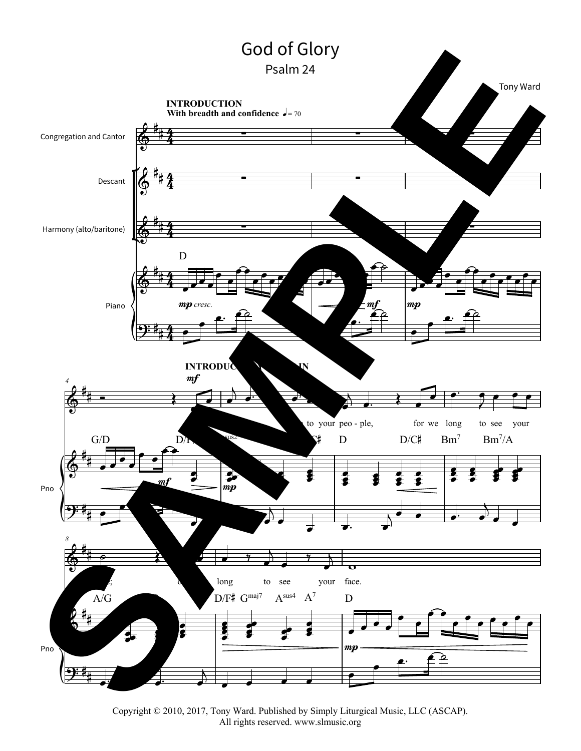

Copyright © 2010, 2017, Tony Ward. Published by Simply Liturgical Music, LLC (ASCAP). All rights reserved. www.slmusic.org